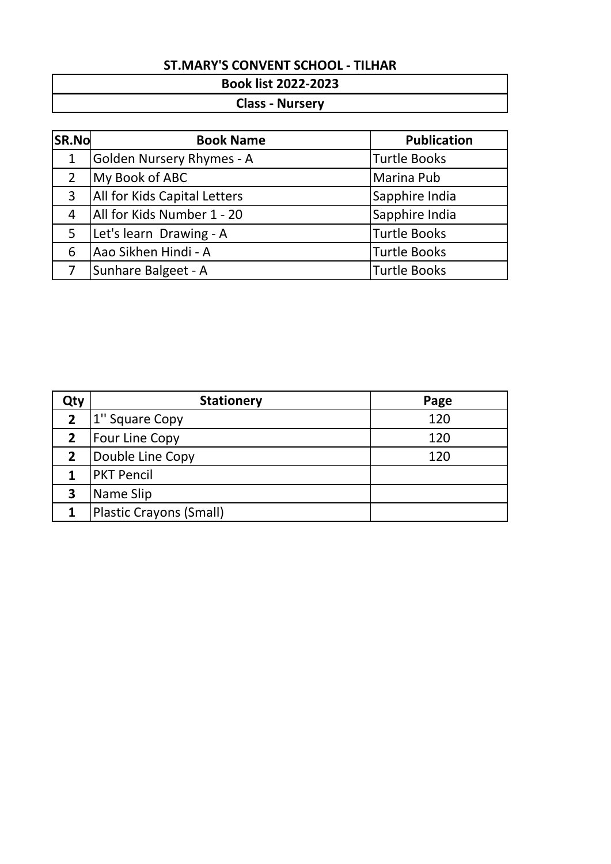### **Book list 2022-2023**

### **Class - Nursery**

| <b>SR.No</b>   | <b>Book Name</b>                    | <b>Publication</b>  |
|----------------|-------------------------------------|---------------------|
| 1              | <b>Golden Nursery Rhymes - A</b>    | <b>Turtle Books</b> |
| $\overline{2}$ | My Book of ABC                      | Marina Pub          |
| 3              | <b>All for Kids Capital Letters</b> | Sapphire India      |
| 4              | All for Kids Number 1 - 20          | Sapphire India      |
| 5              | Let's learn Drawing - A             | <b>Turtle Books</b> |
| 6              | Aao Sikhen Hindi - A                | <b>Turtle Books</b> |
|                | Sunhare Balgeet - A                 | <b>Turtle Books</b> |

| Qty            | <b>Stationery</b>       | Page |
|----------------|-------------------------|------|
| $\overline{2}$ | 1" Square Copy          | 120  |
| 2 <sup>1</sup> | Four Line Copy          | 120  |
| $2^{\circ}$    | Double Line Copy        | 120  |
|                | <b>PKT Pencil</b>       |      |
| 3              | Name Slip               |      |
| 1              | Plastic Crayons (Small) |      |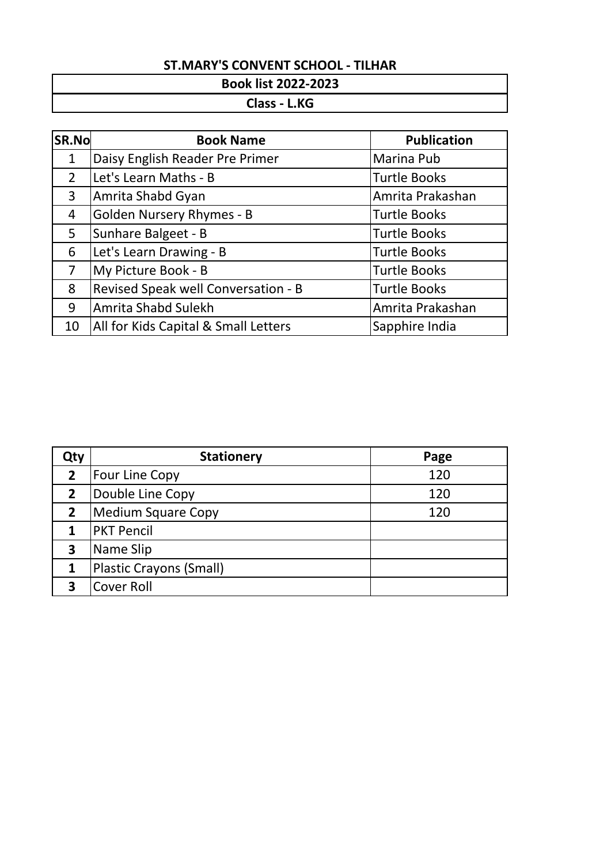### **Book list 2022-2023**

### **Class - L.KG**

| SR.No          | <b>Book Name</b>                     | <b>Publication</b>  |
|----------------|--------------------------------------|---------------------|
| $\mathbf 1$    | Daisy English Reader Pre Primer      | Marina Pub          |
| $\overline{2}$ | Let's Learn Maths - B                | <b>Turtle Books</b> |
| 3              | Amrita Shabd Gyan                    | Amrita Prakashan    |
| 4              | <b>Golden Nursery Rhymes - B</b>     | <b>Turtle Books</b> |
| 5              | Sunhare Balgeet - B                  | <b>Turtle Books</b> |
| 6              | Let's Learn Drawing - B              | <b>Turtle Books</b> |
| 7              | My Picture Book - B                  | <b>Turtle Books</b> |
| 8              | Revised Speak well Conversation - B  | <b>Turtle Books</b> |
| 9              | Amrita Shabd Sulekh                  | Amrita Prakashan    |
| 10             | All for Kids Capital & Small Letters | Sapphire India      |

| Qty            | <b>Stationery</b>              | Page |
|----------------|--------------------------------|------|
| $\overline{2}$ | Four Line Copy                 | 120  |
| $\overline{2}$ | Double Line Copy               | 120  |
| $\overline{2}$ | <b>Medium Square Copy</b>      | 120  |
|                | <b>PKT Pencil</b>              |      |
| 3              | Name Slip                      |      |
| 1              | <b>Plastic Crayons (Small)</b> |      |
|                | <b>Cover Roll</b>              |      |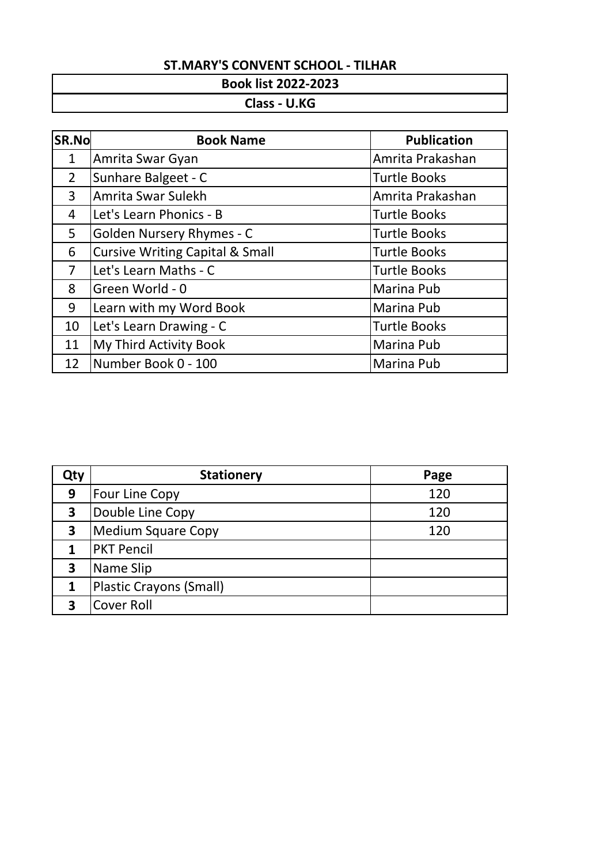# **Book list 2022-2023**

### **Class - U.KG**

| SR.No          | <b>Book Name</b>                           | <b>Publication</b>  |
|----------------|--------------------------------------------|---------------------|
| $\mathbf{1}$   | Amrita Swar Gyan                           | Amrita Prakashan    |
| $\overline{2}$ | Sunhare Balgeet - C                        | <b>Turtle Books</b> |
| 3              | Amrita Swar Sulekh                         | Amrita Prakashan    |
| 4              | Let's Learn Phonics - B                    | <b>Turtle Books</b> |
| 5              | <b>Golden Nursery Rhymes - C</b>           | <b>Turtle Books</b> |
| 6              | <b>Cursive Writing Capital &amp; Small</b> | <b>Turtle Books</b> |
| $\overline{7}$ | Let's Learn Maths - C                      | <b>Turtle Books</b> |
| 8              | Green World - 0                            | Marina Pub          |
| 9              | Learn with my Word Book                    | Marina Pub          |
| 10             | Let's Learn Drawing - C                    | <b>Turtle Books</b> |
| 11             | My Third Activity Book                     | Marina Pub          |
| 12             | Number Book 0 - 100                        | <b>Marina Pub</b>   |

| Qty | <b>Stationery</b>              | Page |
|-----|--------------------------------|------|
| 9   | Four Line Copy                 | 120  |
| 3   | Double Line Copy               | 120  |
| 3   | <b>Medium Square Copy</b>      | 120  |
|     | <b>PKT Pencil</b>              |      |
| 3   | Name Slip                      |      |
| 1   | <b>Plastic Crayons (Small)</b> |      |
|     | <b>Cover Roll</b>              |      |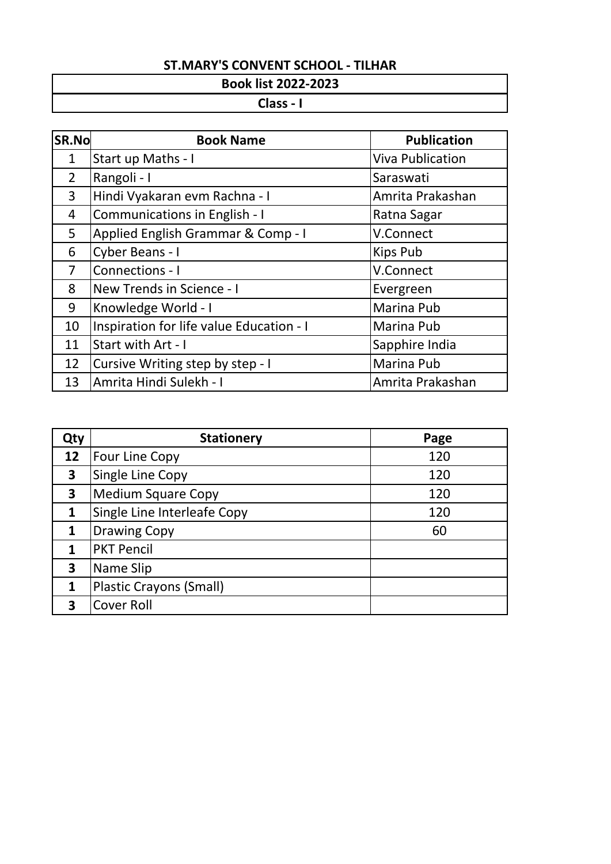#### **Book list 2022-2023**

#### **Class - I**

| SR.No          | <b>Book Name</b>                         | <b>Publication</b>      |
|----------------|------------------------------------------|-------------------------|
| 1              | Start up Maths - I                       | <b>Viva Publication</b> |
| $\overline{2}$ | Rangoli - I                              | Saraswati               |
| 3              | Hindi Vyakaran evm Rachna - I            | Amrita Prakashan        |
| 4              | Communications in English - I            | Ratna Sagar             |
| 5              | Applied English Grammar & Comp - I       | V.Connect               |
| 6              | Cyber Beans - I                          | <b>Kips Pub</b>         |
| $\overline{7}$ | Connections - I                          | V.Connect               |
| 8              | New Trends in Science - I                | Evergreen               |
| 9              | Knowledge World - I                      | Marina Pub              |
| 10             | Inspiration for life value Education - I | Marina Pub              |
| 11             | Start with Art - I                       | Sapphire India          |
| 12             | Cursive Writing step by step - I         | Marina Pub              |
| 13             | Amrita Hindi Sulekh - I                  | Amrita Prakashan        |

| Qty | <b>Stationery</b>              | Page |
|-----|--------------------------------|------|
| 12  | Four Line Copy                 | 120  |
| 3   | Single Line Copy               | 120  |
| 3   | <b>Medium Square Copy</b>      | 120  |
| 1   | Single Line Interleafe Copy    | 120  |
| 1   | <b>Drawing Copy</b>            | 60   |
| 1   | <b>PKT Pencil</b>              |      |
| 3   | Name Slip                      |      |
| 1   | <b>Plastic Crayons (Small)</b> |      |
| 3   | <b>Cover Roll</b>              |      |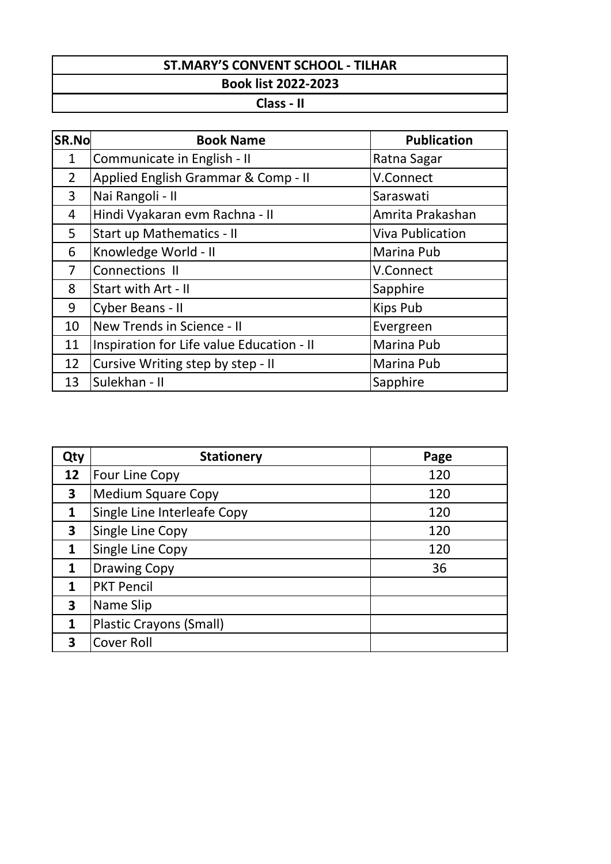**Class - II**

| SR.No          | <b>Book Name</b>                          | <b>Publication</b>      |
|----------------|-------------------------------------------|-------------------------|
| 1              | Communicate in English - II               | Ratna Sagar             |
| $\overline{2}$ | Applied English Grammar & Comp - II       | V.Connect               |
| $\overline{3}$ | Nai Rangoli - II                          | Saraswati               |
| $\overline{4}$ | Hindi Vyakaran evm Rachna - II            | Amrita Prakashan        |
| 5              | <b>Start up Mathematics - II</b>          | <b>Viva Publication</b> |
| 6              | Knowledge World - II                      | Marina Pub              |
| $\overline{7}$ | Connections II                            | V.Connect               |
| 8              | Start with Art - II                       | Sapphire                |
| 9              | Cyber Beans - II                          | Kips Pub                |
| 10             | New Trends in Science - II                | Evergreen               |
| 11             | Inspiration for Life value Education - II | Marina Pub              |
| 12             | Cursive Writing step by step - II         | Marina Pub              |
| 13             | Sulekhan - II                             | Sapphire                |

| Qty          | <b>Stationery</b>              | Page |
|--------------|--------------------------------|------|
| 12           | Four Line Copy                 | 120  |
| 3            | <b>Medium Square Copy</b>      | 120  |
| 1            | Single Line Interleafe Copy    | 120  |
| 3            | Single Line Copy               | 120  |
| $\mathbf{1}$ | Single Line Copy               | 120  |
| 1            | <b>Drawing Copy</b>            | 36   |
|              | <b>PKT Pencil</b>              |      |
| 3            | Name Slip                      |      |
| 1            | <b>Plastic Crayons (Small)</b> |      |
|              | <b>Cover Roll</b>              |      |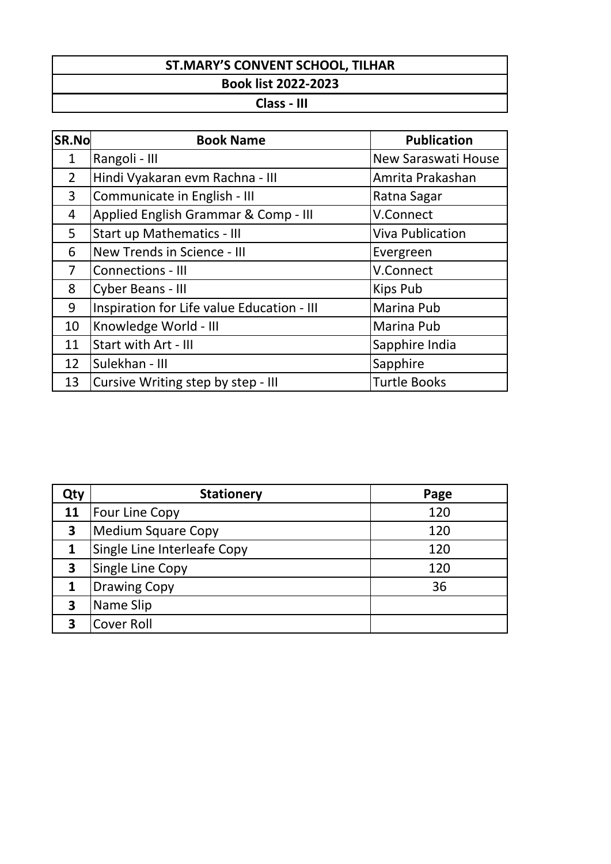# **Class - III**

| <b>SR.No</b>   | <b>Book Name</b>                           | <b>Publication</b>      |
|----------------|--------------------------------------------|-------------------------|
| $\mathbf{1}$   | Rangoli - III                              | New Saraswati House     |
| $\overline{2}$ | Hindi Vyakaran evm Rachna - III            | Amrita Prakashan        |
| 3              | Communicate in English - III               | Ratna Sagar             |
| 4              | Applied English Grammar & Comp - III       | V.Connect               |
| 5              | <b>Start up Mathematics - III</b>          | <b>Viva Publication</b> |
| 6              | New Trends in Science - III                | Evergreen               |
| $\overline{7}$ | Connections - III                          | V.Connect               |
| 8              | Cyber Beans - III                          | Kips Pub                |
| 9              | Inspiration for Life value Education - III | Marina Pub              |
| 10             | Knowledge World - III                      | <b>Marina Pub</b>       |
| 11             | Start with Art - III                       | Sapphire India          |
| 12             | Sulekhan - III                             | Sapphire                |
| 13             | Cursive Writing step by step - III         | <b>Turtle Books</b>     |

| Qty | <b>Stationery</b>           | Page |
|-----|-----------------------------|------|
| 11  | <b>Four Line Copy</b>       | 120  |
| 3   | <b>Medium Square Copy</b>   | 120  |
| 1   | Single Line Interleafe Copy | 120  |
| 3   | <b>Single Line Copy</b>     | 120  |
|     | <b>Drawing Copy</b>         | 36   |
| 3   | Name Slip                   |      |
|     | <b>Cover Roll</b>           |      |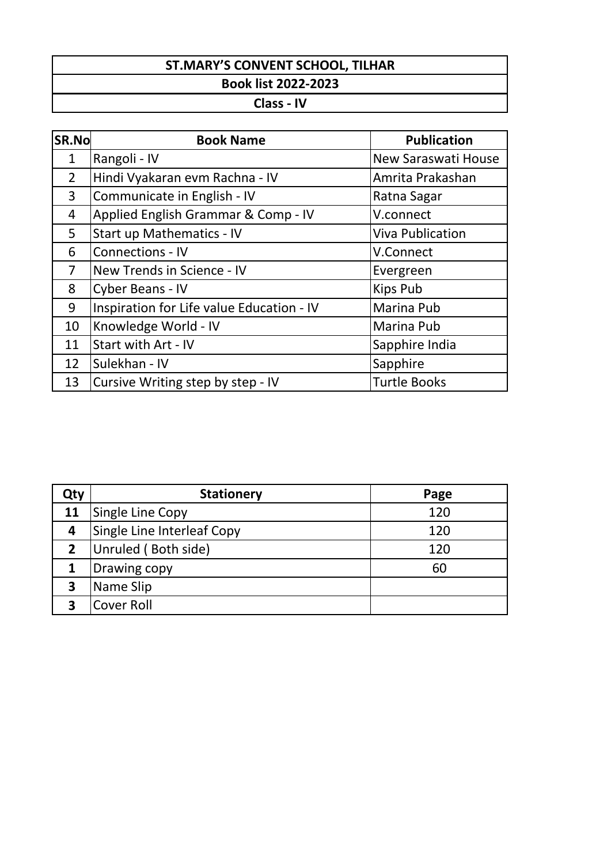# **Class - IV**

| SR.No          | <b>Book Name</b>                          | <b>Publication</b>         |
|----------------|-------------------------------------------|----------------------------|
| $\mathbf{1}$   | Rangoli - IV                              | <b>New Saraswati House</b> |
| $\overline{2}$ | Hindi Vyakaran evm Rachna - IV            | Amrita Prakashan           |
| $\mathbf{3}$   | Communicate in English - IV               | Ratna Sagar                |
| 4              | Applied English Grammar & Comp - IV       | V.connect                  |
| 5              | Start up Mathematics - IV                 | <b>Viva Publication</b>    |
| 6              | Connections - IV                          | V.Connect                  |
| $\overline{7}$ | New Trends in Science - IV                | Evergreen                  |
| 8              | Cyber Beans - IV                          | Kips Pub                   |
| 9              | Inspiration for Life value Education - IV | Marina Pub                 |
| 10             | Knowledge World - IV                      | Marina Pub                 |
| 11             | Start with Art - IV                       | Sapphire India             |
| 12             | Sulekhan - IV                             | Sapphire                   |
| 13             | Cursive Writing step by step - IV         | <b>Turtle Books</b>        |

| Qty                     | <b>Stationery</b>          | Page |
|-------------------------|----------------------------|------|
| 11                      | Single Line Copy           | 120  |
| $\overline{\mathbf{r}}$ | Single Line Interleaf Copy | 120  |
| $\mathbf{2}$            | Unruled (Both side)        | 120  |
|                         | Drawing copy               | 60   |
| 3                       | Name Slip                  |      |
| 3                       | <b>Cover Roll</b>          |      |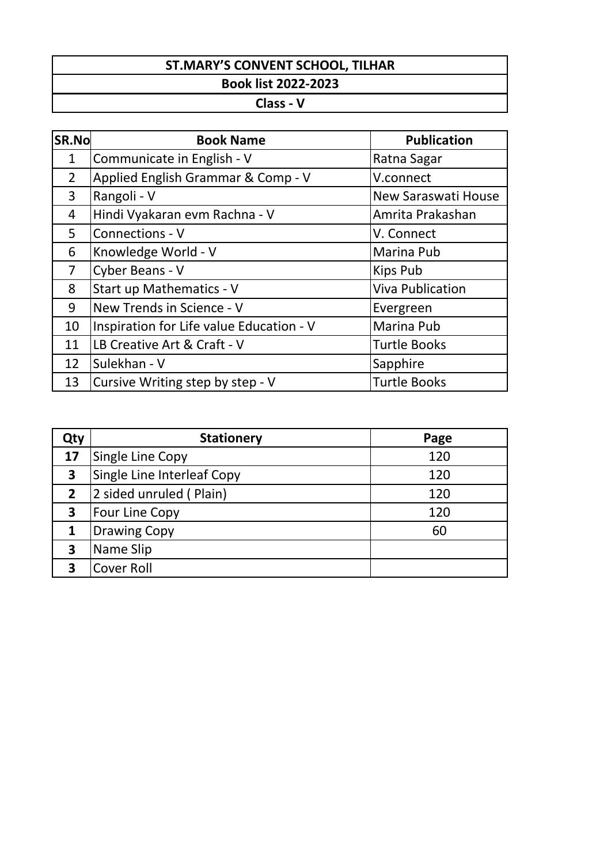**Class - V**

| <b>SR.No</b>   | <b>Book Name</b>                         | <b>Publication</b>         |
|----------------|------------------------------------------|----------------------------|
| 1              | Communicate in English - V               | Ratna Sagar                |
| $\overline{2}$ | Applied English Grammar & Comp - V       | V.connect                  |
| 3              | Rangoli - V                              | <b>New Saraswati House</b> |
| $\overline{4}$ | Hindi Vyakaran evm Rachna - V            | Amrita Prakashan           |
| 5              | Connections - V                          | V. Connect                 |
| 6              | Knowledge World - V                      | Marina Pub                 |
| $\overline{7}$ | Cyber Beans - V                          | Kips Pub                   |
| 8              | Start up Mathematics - V                 | <b>Viva Publication</b>    |
| 9              | New Trends in Science - V                | Evergreen                  |
| 10             | Inspiration for Life value Education - V | Marina Pub                 |
| 11             | LB Creative Art & Craft - V              | <b>Turtle Books</b>        |
| 12             | Sulekhan - V                             | Sapphire                   |
| 13             | Cursive Writing step by step - V         | <b>Turtle Books</b>        |

| Qty            | <b>Stationery</b>          | Page |
|----------------|----------------------------|------|
| 17             | Single Line Copy           | 120  |
| 3              | Single Line Interleaf Copy | 120  |
| $\overline{2}$ | 2 sided unruled (Plain)    | 120  |
| 3              | <b>Four Line Copy</b>      | 120  |
| 1              | <b>Drawing Copy</b>        | 60   |
| 3              | Name Slip                  |      |
| ર              | <b>Cover Roll</b>          |      |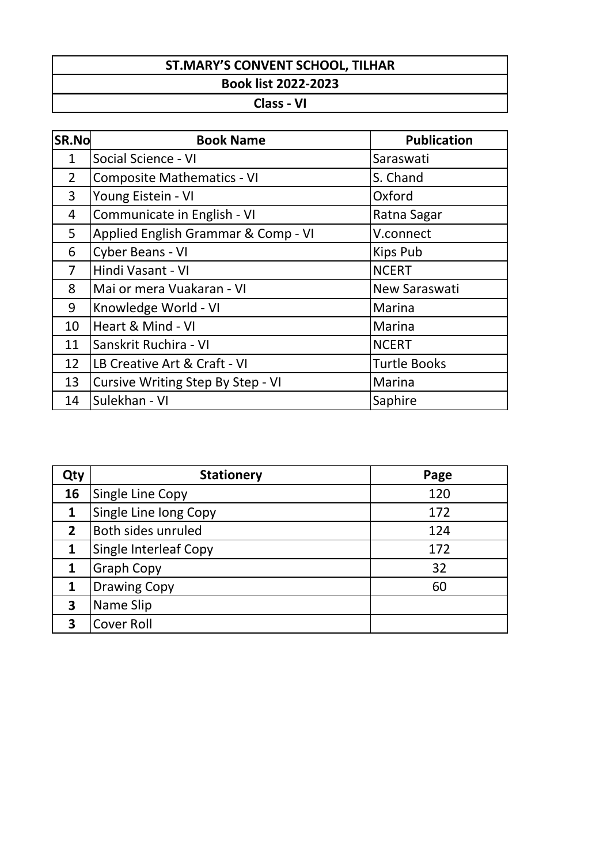**Class - VI**

| SR.No          | <b>Book Name</b>                    | <b>Publication</b>  |
|----------------|-------------------------------------|---------------------|
| $\mathbf 1$    | Social Science - VI                 | Saraswati           |
| $\overline{2}$ | <b>Composite Mathematics - VI</b>   | S. Chand            |
| 3              | Young Eistein - VI                  | Oxford              |
| 4              | Communicate in English - VI         | Ratna Sagar         |
| 5              | Applied English Grammar & Comp - VI | V.connect           |
| 6              | Cyber Beans - VI                    | <b>Kips Pub</b>     |
| $\overline{7}$ | Hindi Vasant - VI                   | <b>NCERT</b>        |
| 8              | Mai or mera Vuakaran - VI           | New Saraswati       |
| 9              | Knowledge World - VI                | Marina              |
| 10             | Heart & Mind - VI                   | Marina              |
| 11             | Sanskrit Ruchira - VI               | <b>NCERT</b>        |
| 12             | LB Creative Art & Craft - VI        | <b>Turtle Books</b> |
| 13             | Cursive Writing Step By Step - VI   | Marina              |
| 14             | Sulekhan - VI                       | Saphire             |

| Qty          | <b>Stationery</b>            | Page |
|--------------|------------------------------|------|
| 16           | Single Line Copy             | 120  |
| 1            | Single Line long Copy        | 172  |
| $\mathbf{2}$ | Both sides unruled           | 124  |
| 1            | <b>Single Interleaf Copy</b> | 172  |
|              | <b>Graph Copy</b>            | 32   |
|              | <b>Drawing Copy</b>          | 60   |
| 3            | Name Slip                    |      |
| ર            | <b>Cover Roll</b>            |      |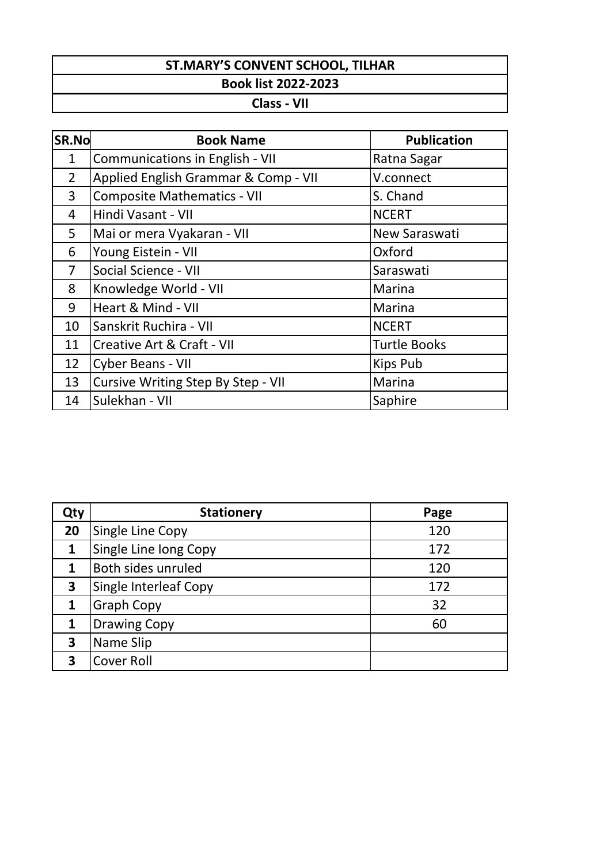#### **Class - VII**

| SR.No          | <b>Book Name</b>                          | <b>Publication</b>  |
|----------------|-------------------------------------------|---------------------|
| $\mathbf{1}$   | Communications in English - VII           | Ratna Sagar         |
| $\overline{2}$ | Applied English Grammar & Comp - VII      | V.connect           |
| 3              | <b>Composite Mathematics - VII</b>        | S. Chand            |
| 4              | Hindi Vasant - VII                        | <b>NCERT</b>        |
| 5              | Mai or mera Vyakaran - VII                | New Saraswati       |
| 6              | Young Eistein - VII                       | Oxford              |
| $\overline{7}$ | Social Science - VII                      | Saraswati           |
| 8              | Knowledge World - VII                     | Marina              |
| 9              | Heart & Mind - VII                        | Marina              |
| 10             | Sanskrit Ruchira - VII                    | <b>NCERT</b>        |
| 11             | Creative Art & Craft - VII                | <b>Turtle Books</b> |
| 12             | Cyber Beans - VII                         | Kips Pub            |
| 13             | <b>Cursive Writing Step By Step - VII</b> | Marina              |
| 14             | Sulekhan - VII                            | Saphire             |

| Qty | <b>Stationery</b>     | Page |
|-----|-----------------------|------|
| 20  | Single Line Copy      | 120  |
| 1   | Single Line long Copy | 172  |
|     | Both sides unruled    | 120  |
| 3   | Single Interleaf Copy | 172  |
|     | <b>Graph Copy</b>     | 32   |
|     | <b>Drawing Copy</b>   | 60   |
| 3   | Name Slip             |      |
| ર   | <b>Cover Roll</b>     |      |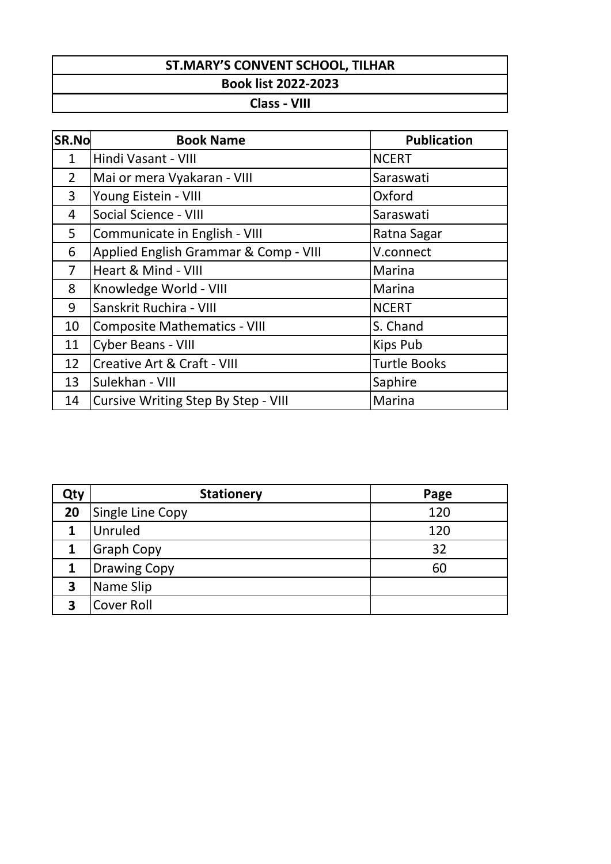**Class - VIII**

| SR.No          | <b>Book Name</b>                      | <b>Publication</b>  |
|----------------|---------------------------------------|---------------------|
| $\mathbf{1}$   | Hindi Vasant - VIII                   | <b>NCERT</b>        |
| $\overline{2}$ | Mai or mera Vyakaran - VIII           | Saraswati           |
| 3              | Young Eistein - VIII                  | Oxford              |
| 4              | Social Science - VIII                 | Saraswati           |
| 5              | Communicate in English - VIII         | Ratna Sagar         |
| 6              | Applied English Grammar & Comp - VIII | V.connect           |
| $\overline{7}$ | Heart & Mind - VIII                   | Marina              |
| 8              | Knowledge World - VIII                | Marina              |
| 9              | Sanskrit Ruchira - VIII               | <b>NCERT</b>        |
| 10             | <b>Composite Mathematics - VIII</b>   | S. Chand            |
| 11             | <b>Cyber Beans - VIII</b>             | Kips Pub            |
| 12             | Creative Art & Craft - VIII           | <b>Turtle Books</b> |
| 13             | Sulekhan - VIII                       | Saphire             |
| 14             | Cursive Writing Step By Step - VIII   | Marina              |

| Qty | <b>Stationery</b>   | Page |
|-----|---------------------|------|
| 20  | Single Line Copy    | 120  |
| 1   | Unruled             | 120  |
|     | <b>Graph Copy</b>   | 32   |
| 1   | <b>Drawing Copy</b> | 60   |
| 3   | Name Slip           |      |
| 3   | <b>Cover Roll</b>   |      |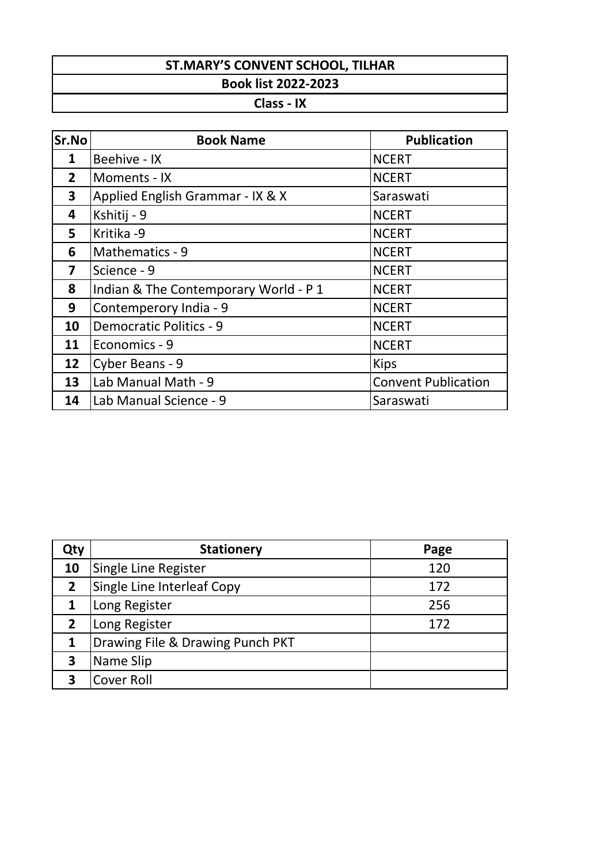# **Class - IX**

| Sr.No          | <b>Book Name</b>                      | <b>Publication</b>         |
|----------------|---------------------------------------|----------------------------|
| 1              | Beehive - IX                          | <b>NCERT</b>               |
| 2 <sup>1</sup> | Moments - IX                          | <b>NCERT</b>               |
| 3              | Applied English Grammar - IX & X      | Saraswati                  |
| 4              | Kshitij - 9                           | <b>NCERT</b>               |
| 5              | Kritika -9                            | <b>NCERT</b>               |
| 6              | Mathematics - 9                       | <b>NCERT</b>               |
| 7              | Science - 9                           | <b>NCERT</b>               |
| 8              | Indian & The Contemporary World - P 1 | <b>NCERT</b>               |
| 9              | Contemperory India - 9                | <b>NCERT</b>               |
| 10             | <b>Democratic Politics - 9</b>        | <b>NCERT</b>               |
| 11             | Economics - 9                         | <b>NCERT</b>               |
| 12             | Cyber Beans - 9                       | <b>Kips</b>                |
| 13             | Lab Manual Math - 9                   | <b>Convent Publication</b> |
| 14             | Lab Manual Science - 9                | Saraswati                  |

| Qty          | <b>Stationery</b>                | Page |
|--------------|----------------------------------|------|
| 10           | Single Line Register             | 120  |
| $\mathbf{2}$ | Single Line Interleaf Copy       | 172  |
|              | Long Register                    | 256  |
| 2            | Long Register                    | 172  |
|              | Drawing File & Drawing Punch PKT |      |
| 3            | Name Slip                        |      |
|              | <b>Cover Roll</b>                |      |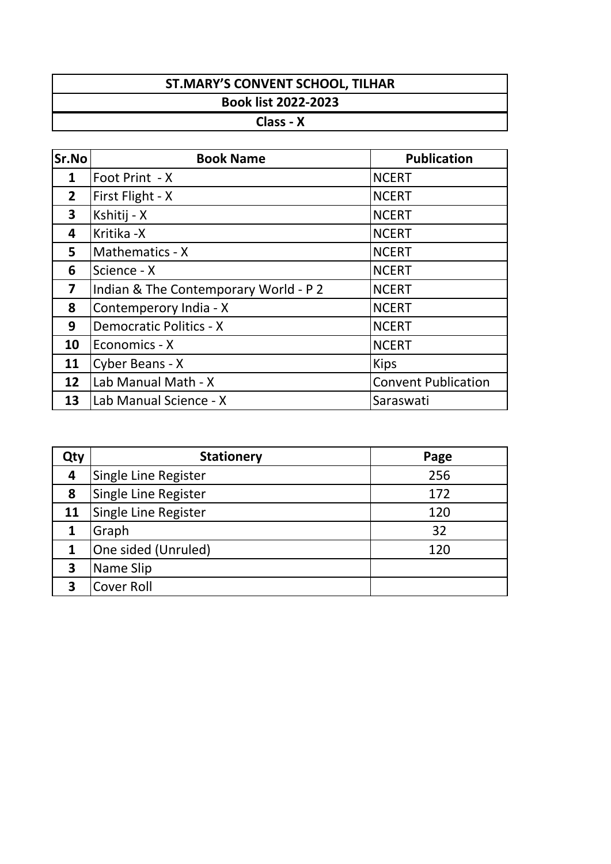### **ST.MARY'S CONVENT SCHOOL, TILHAR Book list 2022-2023 Class - X**

| <b>Sr.No</b> | <b>Book Name</b>                      | <b>Publication</b>         |
|--------------|---------------------------------------|----------------------------|
| 1            | Foot Print - X                        | <b>NCERT</b>               |
| $\mathbf{2}$ | First Flight - X                      | <b>NCERT</b>               |
| 3            | Kshitij - X                           | <b>NCERT</b>               |
| 4            | Kritika -X                            | <b>NCERT</b>               |
| 5            | Mathematics - X                       | <b>NCERT</b>               |
| 6            | Science - X                           | <b>NCERT</b>               |
| 7            | Indian & The Contemporary World - P 2 | <b>NCERT</b>               |
| 8            | Contemperory India - X                | <b>NCERT</b>               |
| 9            | <b>Democratic Politics - X</b>        | <b>NCERT</b>               |
| 10           | Economics - X                         | <b>NCERT</b>               |
| 11           | Cyber Beans - X                       | <b>Kips</b>                |
| 12           | Lab Manual Math - X                   | <b>Convent Publication</b> |
| 13           | Lab Manual Science - X                | Saraswati                  |

| Qty | <b>Stationery</b>    | Page |
|-----|----------------------|------|
| 4   | Single Line Register | 256  |
| 8   | Single Line Register | 172  |
| 11  | Single Line Register | 120  |
|     | Graph                | 32   |
|     | One sided (Unruled)  | 120  |
| 3   | Name Slip            |      |
| R   | Cover Roll           |      |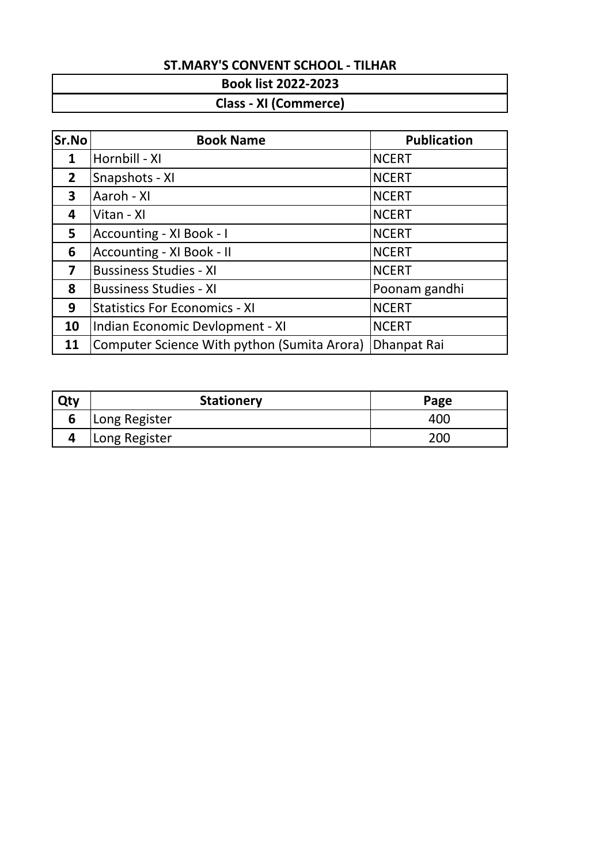#### **Book list 2022-2023**

# **Class - XI (Commerce)**

| Sr.No        | <b>Book Name</b>                            | <b>Publication</b> |
|--------------|---------------------------------------------|--------------------|
| 1            | Hornbill - XI                               | <b>NCERT</b>       |
| $\mathbf{2}$ | Snapshots - XI                              | <b>NCERT</b>       |
| $\mathbf{3}$ | Aaroh - XI                                  | <b>NCERT</b>       |
| 4            | Vitan - XI                                  | <b>NCERT</b>       |
| 5            | Accounting - XI Book - I                    | <b>NCERT</b>       |
| 6            | Accounting - XI Book - II                   | <b>NCERT</b>       |
| 7            | <b>Bussiness Studies - XI</b>               | <b>NCERT</b>       |
| 8            | <b>Bussiness Studies - XI</b>               | Poonam gandhi      |
| 9            | <b>Statistics For Economics - XI</b>        | <b>NCERT</b>       |
| 10           | Indian Economic Devlopment - XI             | <b>NCERT</b>       |
| 11           | Computer Science With python (Sumita Arora) | Dhanpat Rai        |

| Qty | <b>Stationery</b> | Page |
|-----|-------------------|------|
| 6   | Long Register     | 40C  |
|     | Long Register     | 200  |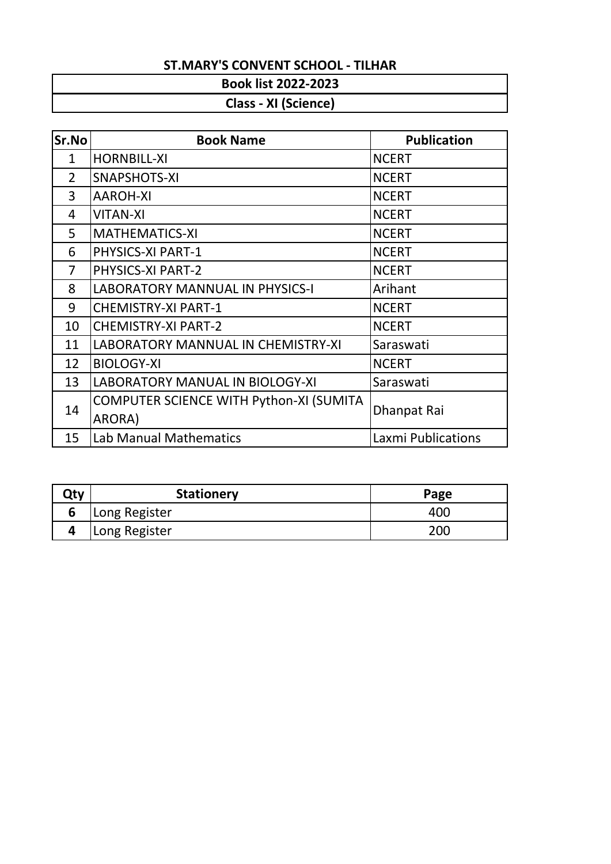#### **Book list 2022-2023**

# **Class - XI (Science)**

| <b>Sr.No</b>   | <b>Book Name</b>                        | <b>Publication</b>        |
|----------------|-----------------------------------------|---------------------------|
| $\mathbf 1$    | <b>HORNBILL-XI</b>                      | <b>NCERT</b>              |
| $\overline{2}$ | <b>SNAPSHOTS-XI</b>                     | <b>NCERT</b>              |
| 3              | <b>AAROH-XI</b>                         | <b>NCERT</b>              |
| 4              | <b>VITAN-XI</b>                         | <b>NCERT</b>              |
| 5              | <b>MATHEMATICS-XI</b>                   | <b>NCERT</b>              |
| 6              | PHYSICS-XI PART-1                       | <b>NCERT</b>              |
| 7              | PHYSICS-XI PART-2                       | <b>NCERT</b>              |
| 8              | <b>LABORATORY MANNUAL IN PHYSICS-I</b>  | Arihant                   |
| 9              | <b>CHEMISTRY-XI PART-1</b>              | <b>NCERT</b>              |
| 10             | <b>CHEMISTRY-XI PART-2</b>              | <b>NCERT</b>              |
| 11             | LABORATORY MANNUAL IN CHEMISTRY-XI      | Saraswati                 |
| 12             | <b>BIOLOGY-XI</b>                       | <b>NCERT</b>              |
| 13             | LABORATORY MANUAL IN BIOLOGY-XI         | Saraswati                 |
| 14             | COMPUTER SCIENCE WITH Python-XI (SUMITA | Dhanpat Rai               |
|                | ARORA)                                  |                           |
| 15             | <b>Lab Manual Mathematics</b>           | <b>Laxmi Publications</b> |

| <b>Stationery</b> | Page |
|-------------------|------|
| Long Register     | 400  |
| Long Register     | 200  |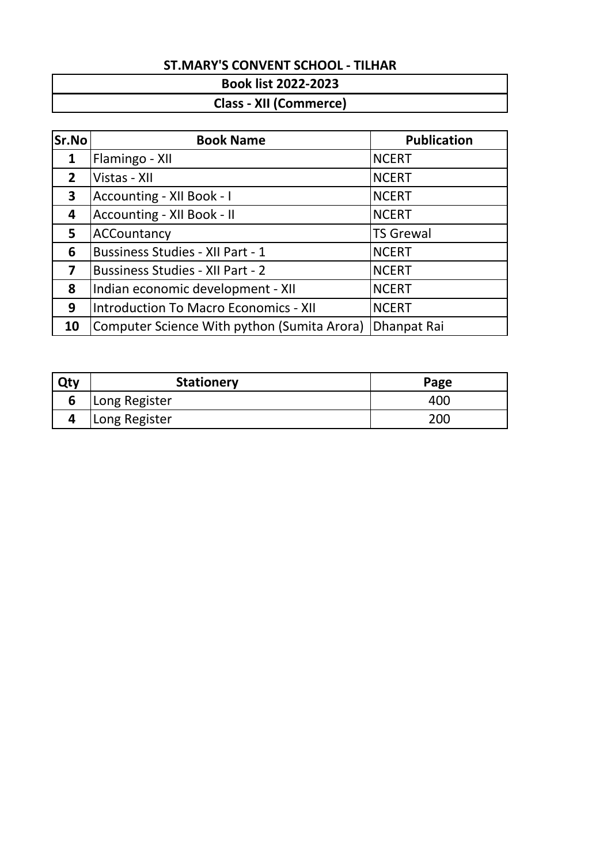#### **Book list 2022-2023**

### **Class - XII (Commerce)**

| Sr.No                   | <b>Book Name</b>                             | <b>Publication</b> |
|-------------------------|----------------------------------------------|--------------------|
| $\mathbf{1}$            | Flamingo - XII                               | <b>NCERT</b>       |
| $\overline{2}$          | Vistas - XII                                 | <b>NCERT</b>       |
| $\mathbf{3}$            | Accounting - XII Book - I                    | <b>NCERT</b>       |
| 4                       | Accounting - XII Book - II                   | <b>NCERT</b>       |
| 5                       | ACCountancy                                  | <b>TS Grewal</b>   |
| 6                       | <b>Bussiness Studies - XII Part - 1</b>      | <b>NCERT</b>       |
| $\overline{\mathbf{z}}$ | <b>Bussiness Studies - XII Part - 2</b>      | <b>NCERT</b>       |
| 8                       | Indian economic development - XII            | <b>NCERT</b>       |
| 9                       | <b>Introduction To Macro Economics - XII</b> | <b>NCERT</b>       |
| 10                      | Computer Science With python (Sumita Arora)  | Dhanpat Rai        |

| Qty | <b>Stationery</b> | Page |
|-----|-------------------|------|
| O   | Long Register     | 400  |
|     | Long Register     | 20C  |